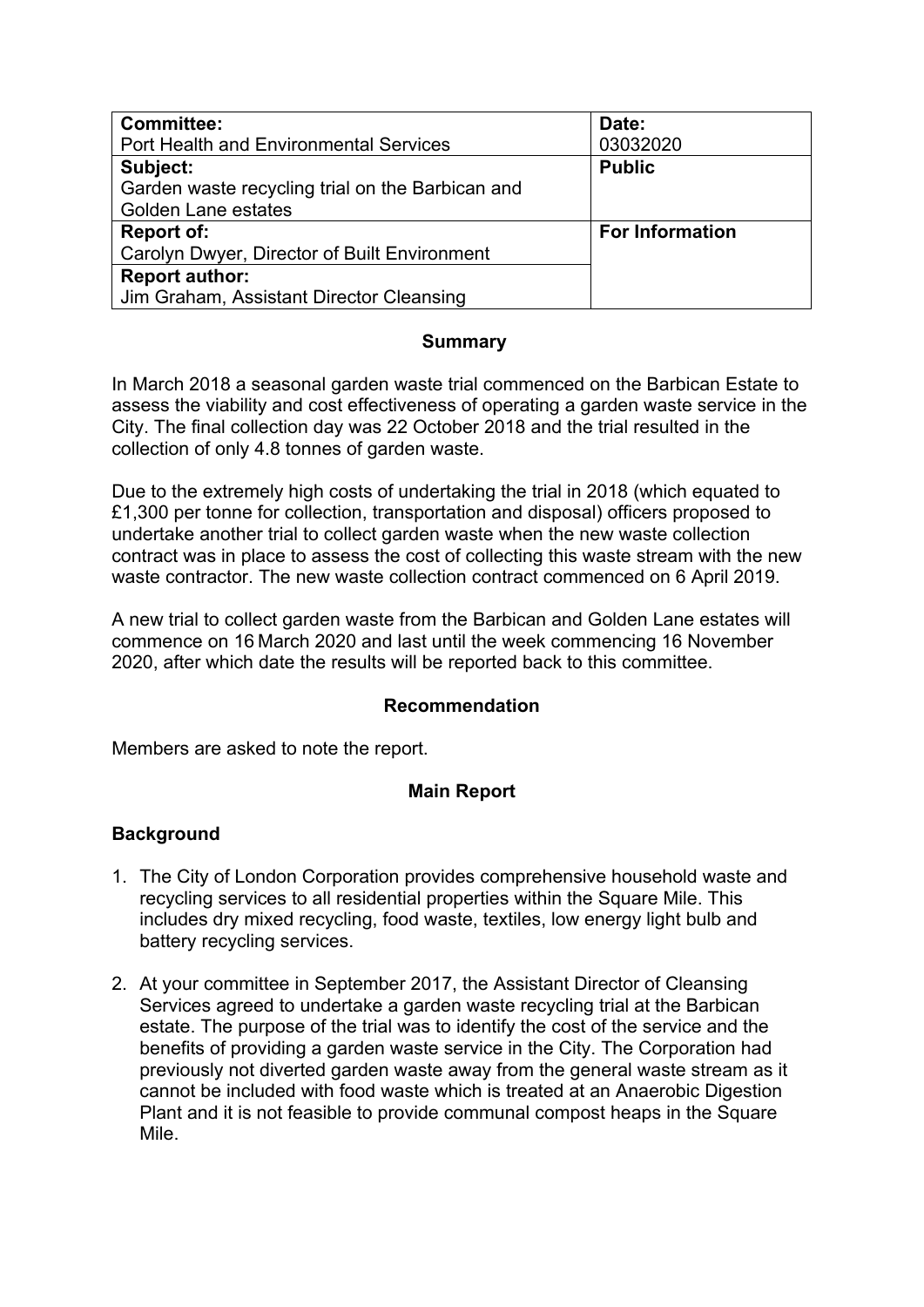| <b>Committee:</b>                                | Date:                  |
|--------------------------------------------------|------------------------|
| <b>Port Health and Environmental Services</b>    | 03032020               |
| Subject:                                         | <b>Public</b>          |
| Garden waste recycling trial on the Barbican and |                        |
| <b>Golden Lane estates</b>                       |                        |
| <b>Report of:</b>                                | <b>For Information</b> |
| Carolyn Dwyer, Director of Built Environment     |                        |
| <b>Report author:</b>                            |                        |
| Jim Graham, Assistant Director Cleansing         |                        |

# **Summary**

In March 2018 a seasonal garden waste trial commenced on the Barbican Estate to assess the viability and cost effectiveness of operating a garden waste service in the City. The final collection day was 22 October 2018 and the trial resulted in the collection of only 4.8 tonnes of garden waste.

Due to the extremely high costs of undertaking the trial in 2018 (which equated to £1,300 per tonne for collection, transportation and disposal) officers proposed to undertake another trial to collect garden waste when the new waste collection contract was in place to assess the cost of collecting this waste stream with the new waste contractor. The new waste collection contract commenced on 6 April 2019.

A new trial to collect garden waste from the Barbican and Golden Lane estates will commence on 16 March 2020 and last until the week commencing 16 November 2020, after which date the results will be reported back to this committee.

#### **Recommendation**

Members are asked to note the report.

# **Main Report**

# **Background**

- 1. The City of London Corporation provides comprehensive household waste and recycling services to all residential properties within the Square Mile. This includes dry mixed recycling, food waste, textiles, low energy light bulb and battery recycling services.
- 2. At your committee in September 2017, the Assistant Director of Cleansing Services agreed to undertake a garden waste recycling trial at the Barbican estate. The purpose of the trial was to identify the cost of the service and the benefits of providing a garden waste service in the City. The Corporation had previously not diverted garden waste away from the general waste stream as it cannot be included with food waste which is treated at an Anaerobic Digestion Plant and it is not feasible to provide communal compost heaps in the Square Mile.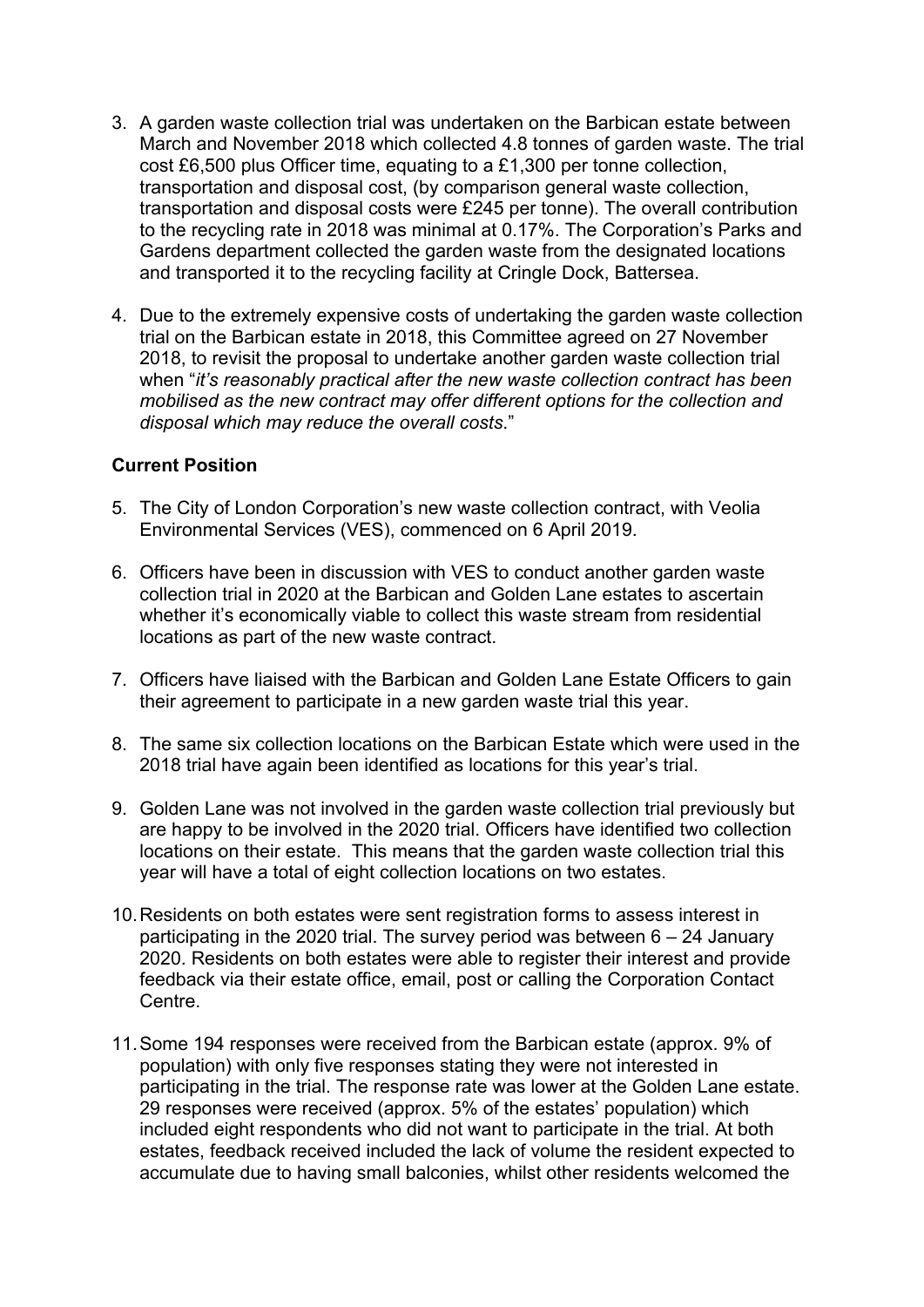- 3. A garden waste collection trial was undertaken on the Barbican estate between March and November 2018 which collected 4.8 tonnes of garden waste. The trial cost £6,500 plus Officer time, equating to a £1,300 per tonne collection, transportation and disposal cost, (by comparison general waste collection, transportation and disposal costs were £245 per tonne). The overall contribution to the recycling rate in 2018 was minimal at 0.17%. The Corporation's Parks and Gardens department collected the garden waste from the designated locations and transported it to the recycling facility at Cringle Dock, Battersea.
- 4. Due to the extremely expensive costs of undertaking the garden waste collection trial on the Barbican estate in 2018, this Committee agreed on 27 November 2018, to revisit the proposal to undertake another garden waste collection trial when "*it's reasonably practical after the new waste collection contract has been mobilised as the new contract may offer different options for the collection and disposal which may reduce the overall costs*."

#### **Current Position**

- 5. The City of London Corporation's new waste collection contract, with Veolia Environmental Services (VES), commenced on 6 April 2019.
- 6. Officers have been in discussion with VES to conduct another garden waste collection trial in 2020 at the Barbican and Golden Lane estates to ascertain whether it's economically viable to collect this waste stream from residential locations as part of the new waste contract.
- 7. Officers have liaised with the Barbican and Golden Lane Estate Officers to gain their agreement to participate in a new garden waste trial this year.
- 8. The same six collection locations on the Barbican Estate which were used in the 2018 trial have again been identified as locations for this year's trial.
- 9. Golden Lane was not involved in the garden waste collection trial previously but are happy to be involved in the 2020 trial. Officers have identified two collection locations on their estate. This means that the garden waste collection trial this year will have a total of eight collection locations on two estates.
- 10.Residents on both estates were sent registration forms to assess interest in participating in the 2020 trial. The survey period was between 6 – 24 January 2020. Residents on both estates were able to register their interest and provide feedback via their estate office, email, post or calling the Corporation Contact Centre.
- 11.Some 194 responses were received from the Barbican estate (approx. 9% of population) with only five responses stating they were not interested in participating in the trial. The response rate was lower at the Golden Lane estate. 29 responses were received (approx. 5% of the estates' population) which included eight respondents who did not want to participate in the trial. At both estates, feedback received included the lack of volume the resident expected to accumulate due to having small balconies, whilst other residents welcomed the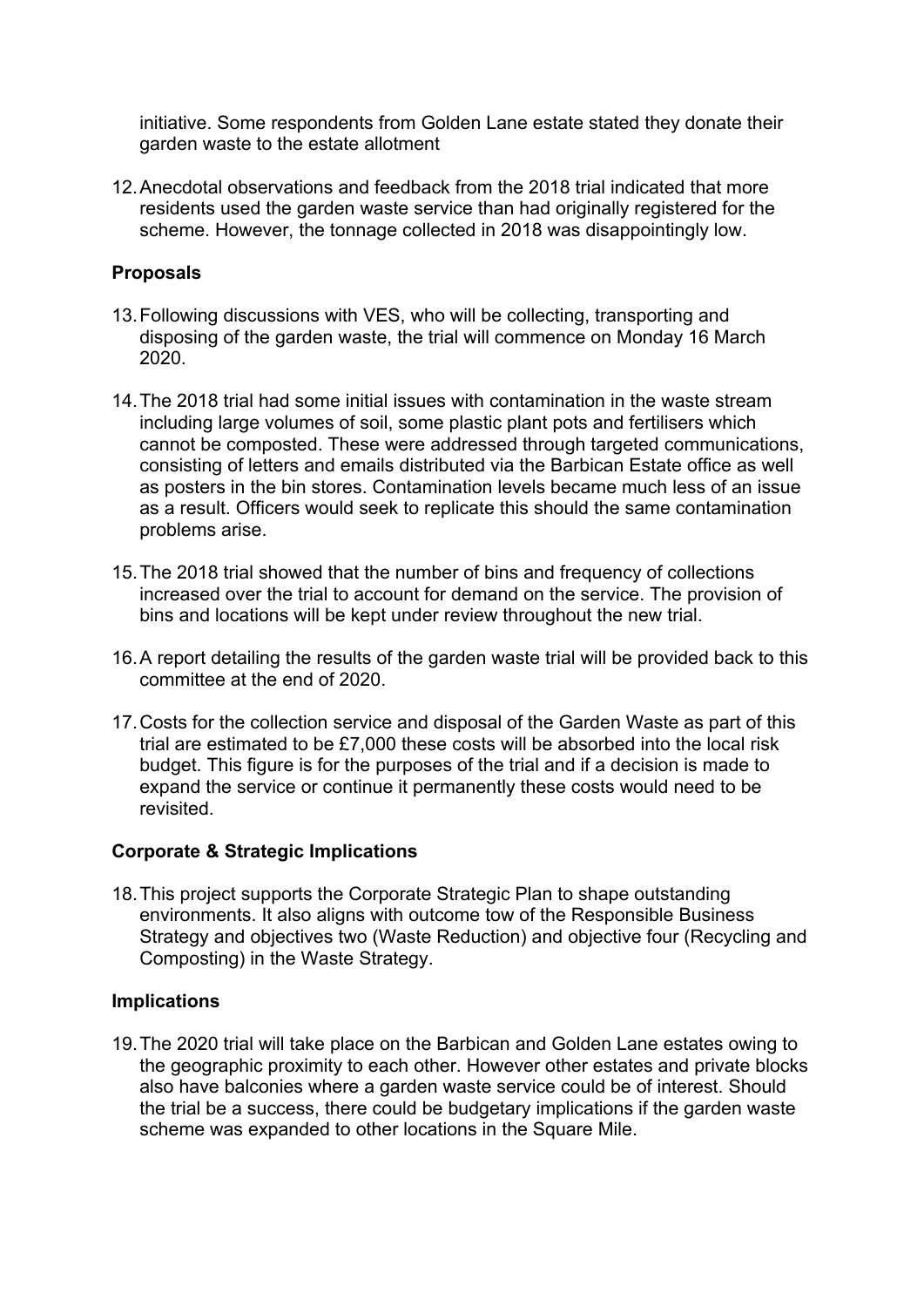initiative. Some respondents from Golden Lane estate stated they donate their garden waste to the estate allotment

12.Anecdotal observations and feedback from the 2018 trial indicated that more residents used the garden waste service than had originally registered for the scheme. However, the tonnage collected in 2018 was disappointingly low.

#### **Proposals**

- 13.Following discussions with VES, who will be collecting, transporting and disposing of the garden waste, the trial will commence on Monday 16 March 2020.
- 14.The 2018 trial had some initial issues with contamination in the waste stream including large volumes of soil, some plastic plant pots and fertilisers which cannot be composted. These were addressed through targeted communications, consisting of letters and emails distributed via the Barbican Estate office as well as posters in the bin stores. Contamination levels became much less of an issue as a result. Officers would seek to replicate this should the same contamination problems arise.
- 15.The 2018 trial showed that the number of bins and frequency of collections increased over the trial to account for demand on the service. The provision of bins and locations will be kept under review throughout the new trial.
- 16.A report detailing the results of the garden waste trial will be provided back to this committee at the end of 2020.
- 17.Costs for the collection service and disposal of the Garden Waste as part of this trial are estimated to be £7,000 these costs will be absorbed into the local risk budget. This figure is for the purposes of the trial and if a decision is made to expand the service or continue it permanently these costs would need to be revisited.

#### **Corporate & Strategic Implications**

18.This project supports the Corporate Strategic Plan to shape outstanding environments. It also aligns with outcome tow of the Responsible Business Strategy and objectives two (Waste Reduction) and objective four (Recycling and Composting) in the Waste Strategy.

#### **Implications**

19.The 2020 trial will take place on the Barbican and Golden Lane estates owing to the geographic proximity to each other. However other estates and private blocks also have balconies where a garden waste service could be of interest. Should the trial be a success, there could be budgetary implications if the garden waste scheme was expanded to other locations in the Square Mile.